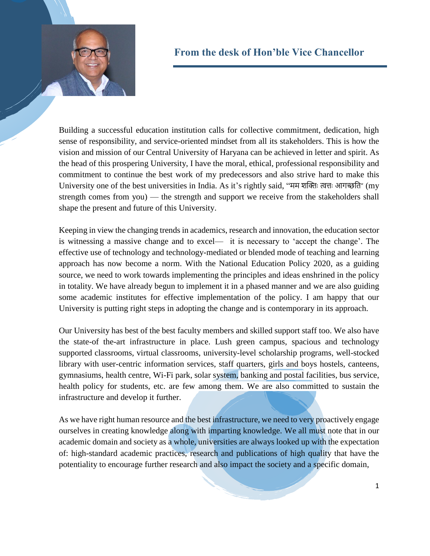

## **From the desk of Hon'ble Vice Chancellor**

Building a successful education institution calls for collective commitment, dedication, high sense of responsibility, and service-oriented mindset from all its stakeholders. This is how the vision and mission of our Central University of Haryana can be achieved in letter and spirit. As the head of this prospering University, I have the moral, ethical, professional responsibility and commitment to continue the best work of my predecessors and also strive hard to make this University one of the best universities in India. As it's rightly said, "मम शक्तिः त्वत्तिः आगच्छति" (my strength comes from you) — the strength and support we receive from the stakeholders shall shape the present and future of this University.

Keeping in view the changing trends in academics, research and innovation, the education sector is witnessing a massive change and to excel— it is necessary to 'accept the change'. The effective use of technology and technology-mediated or blended mode of teaching and learning approach has now become a norm. With the National Education Policy 2020, as a guiding source, we need to work towards implementing the principles and ideas enshrined in the policy in totality. We have already begun to implement it in a phased manner and we are also guiding some academic institutes for effective implementation of the policy. I am happy that our University is putting right steps in adopting the change and is contemporary in its approach.

Our University has best of the best faculty members and skilled support staff too. We also have the state-of the-art infrastructure in place. Lush green campus, spacious and technology supported classrooms, virtual classrooms, university-level scholarship programs, well-stocked library with user-centric information services, staff quarters, girls and boys hostels, canteens, gymnasiums, health centre, Wi-Fi park, solar system, banking and postal facilities, bus service, health policy for students, etc. are few among them. We are also committed to sustain the infrastructure and develop it further.

As we have right human resource and the best infrastructure, we need to very proactively engage ourselves in creating knowledge along with imparting knowledge. We all must note that in our academic domain and society as a whole, universities are always looked up with the expectation of: high-standard academic practices, research and publications of high quality that have the potentiality to encourage further research and also impact the society and a specific domain,